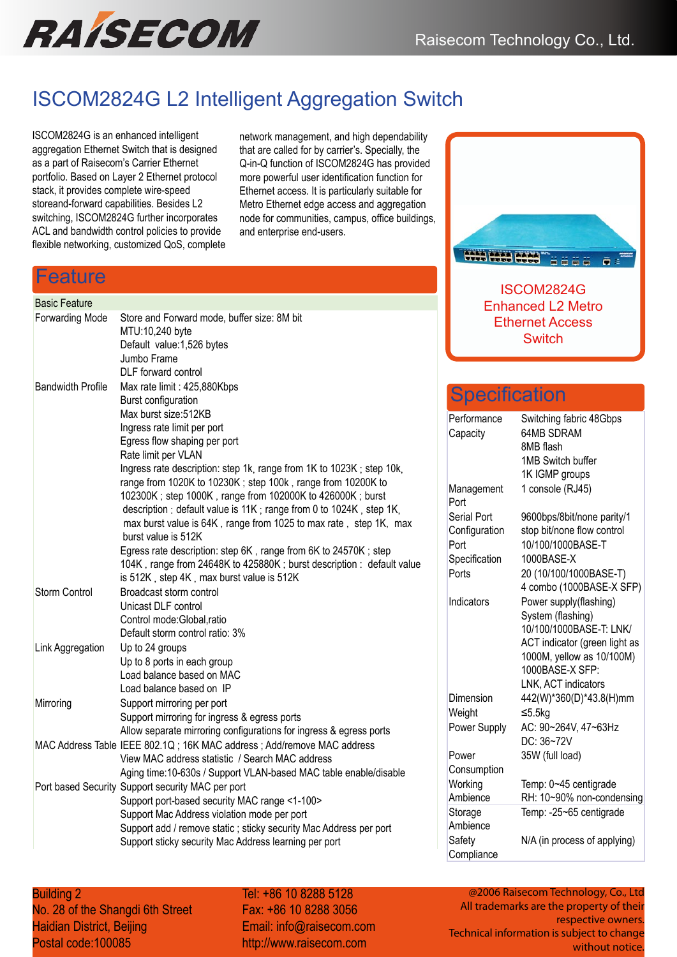

## ISCOM2824G L2 Intelligent Aggregation Switch

ISCOM2824G is an enhanced intelligent aggregation Ethernet Switch that is designed as a part of Raisecom's Carrier Ethernet portfolio. Based on Layer 2 Ethernet protocol stack, it provides complete wire-speed storeand-forward capabilities. Besides L2 switching, ISCOM2824G further incorporates ACL and bandwidth control policies to provide flexible networking, customized QoS, complete network management, and high dependability that are called for by carrier's. Specially, the Q-in-Q function of ISCOM2824G has provided more powerful user identification function for Ethernet access. It is particularly suitable for Metro Ethernet edge access and aggregation node for communities, campus, office buildings, and enterprise end-users.

### Feature

## Basic Feature

| <b>Forwarding Mode</b>   | Store and Forward mode, buffer size: 8M bit                            |
|--------------------------|------------------------------------------------------------------------|
|                          | MTU:10,240 byte                                                        |
|                          | Default value: 1,526 bytes<br>Jumbo Frame                              |
|                          | DLF forward control                                                    |
| <b>Bandwidth Profile</b> |                                                                        |
|                          | Max rate limit: 425,880Kbps                                            |
|                          | <b>Burst configuration</b><br>Max burst size:512KB                     |
|                          | Ingress rate limit per port                                            |
|                          | Egress flow shaping per port                                           |
|                          | Rate limit per VLAN                                                    |
|                          | Ingress rate description: step 1k, range from 1K to 1023K; step 10k,   |
|                          | range from 1020K to 10230K; step 100k, range from 10200K to            |
|                          | 102300K; step 1000K, range from 102000K to 426000K; burst              |
|                          | description : default value is 11K ; range from 0 to 1024K, step 1K,   |
|                          | max burst value is 64K, range from 1025 to max rate, step 1K, max      |
|                          | burst value is 512K                                                    |
|                          | Egress rate description: step 6K, range from 6K to 24570K; step        |
|                          | 104K, range from 24648K to 425880K; burst description: default value   |
|                          | is 512K, step 4K, max burst value is 512K                              |
| <b>Storm Control</b>     | Broadcast storm control                                                |
|                          | Unicast DLF control                                                    |
|                          | Control mode: Global, ratio                                            |
|                          | Default storm control ratio: 3%                                        |
| Link Aggregation         | Up to 24 groups                                                        |
|                          | Up to 8 ports in each group                                            |
|                          | Load balance based on MAC                                              |
|                          | Load balance based on IP                                               |
| Mirroring                | Support mirroring per port                                             |
|                          | Support mirroring for ingress & egress ports                           |
|                          | Allow separate mirroring configurations for ingress & egress ports     |
|                          | MAC Address Table IEEE 802.1Q; 16K MAC address; Add/remove MAC address |
|                          | View MAC address statistic / Search MAC address                        |
|                          | Aging time:10-630s / Support VLAN-based MAC table enable/disable       |
|                          | Port based Security Support security MAC per port                      |
|                          | Support port-based security MAC range <1-100>                          |
|                          | Support Mac Address violation mode per port                            |
|                          | Support add / remove static ; sticky security Mac Address per port     |
|                          | Support sticky security Mac Address learning per port                  |



ISCOM2824G Enhanced L2 Metro Ethernet Access **Switch** 

## **Specification**

| Performance        | Switching fabric 48Gbps       |
|--------------------|-------------------------------|
| Capacity           | <b>64MB SDRAM</b>             |
|                    | 8MB flash                     |
|                    | 1MB Switch buffer             |
|                    | 1K IGMP groups                |
| Management<br>Port | 1 console (RJ45)              |
| <b>Serial Port</b> | 9600bps/8bit/none parity/1    |
| Configuration      | stop bit/none flow control    |
| Port               | 10/100/1000BASE-T             |
| Specification      | 1000BASE-X                    |
| Ports              | 20 (10/100/1000BASE-T)        |
|                    | 4 combo (1000BASE-X SFP)      |
| Indicators         | Power supply(flashing)        |
|                    | System (flashing)             |
|                    | 10/100/1000BASE-T: LNK/       |
|                    | ACT indicator (green light as |
|                    | 1000M, yellow as 10/100M)     |
|                    | 1000BASE-X SFP:               |
|                    | LNK, ACT indicators           |
| Dimension          | 442(W)*360(D)*43.8(H)mm       |
| Weight             | ≤5.5 $kg$                     |
| Power Supply       | AC: 90~264V, 47~63Hz          |
|                    | DC: 36~72V                    |
| Power              | 35W (full load)               |
| Consumption        |                               |
| Working            | Temp: 0~45 centigrade         |
| Ambience           | RH: 10~90% non-condensing     |
| Storage            | Temp: -25~65 centigrade       |
| Ambience           |                               |
| Safety             | N/A (in process of applying)  |
| Compliance         |                               |

**Building 2** Co., Ltd. Co., Ltd. No. 28 of the Shangdi 6th Street Haidian District, Beijing Postal code:100085

Tel: +86 10 8288 5128 Fax: +86 10 8288 3056 Fax: +86 10 8288 3056 Email: info@raisecom.com Email: info@raisecom.com http://www.raisecom.com http://www.raisecom.com

@2006 Raisecom Technology, Co., Ltd @2006 Raisecom Technology, Co., Ltd All trademarks are the property of their All trademarks are the property of their respective owners. respective owners. Technical information is subject to change Technical information is subject to change without notice. without notice.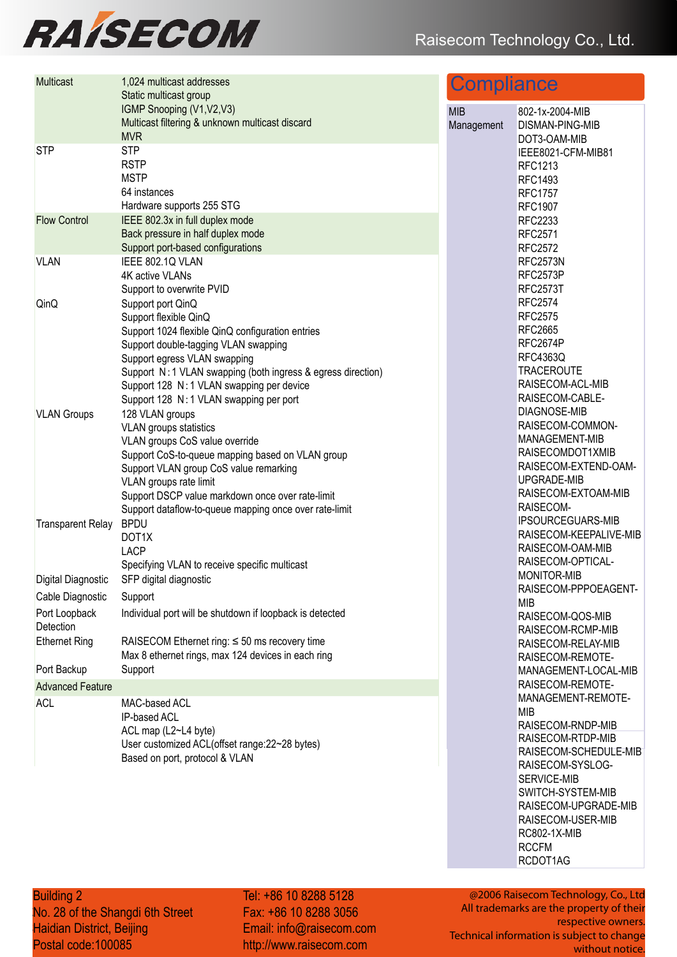# **RAÍSECOM**

| <b>Multicast</b>           | 1,024 multicast addresses<br>Static multicast group                                                                                                                                                                                                                                                                            | <b>Compliance</b>        |                                                                                                                                                          |
|----------------------------|--------------------------------------------------------------------------------------------------------------------------------------------------------------------------------------------------------------------------------------------------------------------------------------------------------------------------------|--------------------------|----------------------------------------------------------------------------------------------------------------------------------------------------------|
|                            | IGMP Snooping (V1, V2, V3)<br>Multicast filtering & unknown multicast discard<br><b>MVR</b>                                                                                                                                                                                                                                    | <b>MIB</b><br>Management | 802-1x-2004-MIB<br><b>DISMAN-PING-MIB</b><br>DOT3-OAM-MIB                                                                                                |
| <b>STP</b>                 | <b>STP</b><br><b>RSTP</b><br><b>MSTP</b><br>64 instances<br>Hardware supports 255 STG                                                                                                                                                                                                                                          |                          | IEEE8021-CFM-MIB81<br><b>RFC1213</b><br><b>RFC1493</b><br><b>RFC1757</b><br><b>RFC1907</b>                                                               |
| <b>Flow Control</b>        | IEEE 802.3x in full duplex mode<br>Back pressure in half duplex mode<br>Support port-based configurations                                                                                                                                                                                                                      |                          | <b>RFC2233</b><br><b>RFC2571</b><br><b>RFC2572</b>                                                                                                       |
| <b>VLAN</b>                | IEEE 802.1Q VLAN<br>4K active VLANs<br>Support to overwrite PVID                                                                                                                                                                                                                                                               |                          | RFC2573N<br>RFC2573P<br><b>RFC2573T</b>                                                                                                                  |
| QinQ                       | Support port QinQ<br>Support flexible QinQ<br>Support 1024 flexible QinQ configuration entries<br>Support double-tagging VLAN swapping<br>Support egress VLAN swapping<br>Support N: 1 VLAN swapping (both ingress & egress direction)<br>Support 128 N: 1 VLAN swapping per device<br>Support 128 N: 1 VLAN swapping per port |                          | <b>RFC2574</b><br><b>RFC2575</b><br><b>RFC2665</b><br>RFC2674P<br><b>RFC4363Q</b><br><b>TRACEROUTE</b><br>RAISECOM-ACL-MIB<br>RAISECOM-CABLE-            |
| <b>VLAN Groups</b>         | 128 VLAN groups<br>VLAN groups statistics<br>VLAN groups CoS value override<br>Support CoS-to-queue mapping based on VLAN group<br>Support VLAN group CoS value remarking<br>VLAN groups rate limit<br>Support DSCP value markdown once over rate-limit<br>Support dataflow-to-queue mapping once over rate-limit              |                          | <b>DIAGNOSE-MIB</b><br>RAISECOM-COMMON-<br>MANAGEMENT-MIB<br>RAISECOMDOT1XMIB<br>RAISECOM-EXTEND-OAM-<br>UPGRADE-MIB<br>RAISECOM-EXTOAM-MIB<br>RAISECOM- |
| <b>Transparent Relay</b>   | <b>BPDU</b><br>DOT1X<br><b>LACP</b><br>Specifying VLAN to receive specific multicast                                                                                                                                                                                                                                           |                          | <b>IPSOURCEGUARS-MIB</b><br>RAISECOM-KEEPALIVE-MIB<br>RAISECOM-OAM-MIB<br>RAISECOM-OPTICAL-                                                              |
| Digital Diagnostic         | SFP digital diagnostic                                                                                                                                                                                                                                                                                                         |                          | <b>MONITOR-MIB</b><br>RAISECOM-PPPOEAGENT-                                                                                                               |
| Cable Diagnostic           | Support                                                                                                                                                                                                                                                                                                                        |                          | <b>MIB</b>                                                                                                                                               |
| Port Loopback<br>Detection | Individual port will be shutdown if loopback is detected                                                                                                                                                                                                                                                                       |                          | RAISECOM-QOS-MIB<br>RAISECOM-RCMP-MIB                                                                                                                    |
| <b>Ethernet Ring</b>       | RAISECOM Ethernet ring: $\leq 50$ ms recovery time<br>Max 8 ethernet rings, max 124 devices in each ring                                                                                                                                                                                                                       |                          | RAISECOM-RELAY-MIB<br>RAISECOM-REMOTE-                                                                                                                   |
| Port Backup                | Support                                                                                                                                                                                                                                                                                                                        |                          | MANAGEMENT-LOCAL-MIB                                                                                                                                     |
| <b>Advanced Feature</b>    |                                                                                                                                                                                                                                                                                                                                |                          | RAISECOM-REMOTE-<br>MANAGEMENT-REMOTE-                                                                                                                   |
| <b>ACL</b>                 | MAC-based ACL<br>IP-based ACL<br>ACL map (L2~L4 byte)<br>User customized ACL(offset range:22~28 bytes)                                                                                                                                                                                                                         |                          | <b>MIB</b><br>RAISECOM-RNDP-MIB<br>RAISECOM-RTDP-MIB                                                                                                     |
|                            | Based on port, protocol & VLAN                                                                                                                                                                                                                                                                                                 |                          | RAISECOM-SCHEDULE-MIB<br>RAISECOM-SYSLOG-<br>SERVICE-MIB                                                                                                 |

SWITCH-SYSTEM-MIB RAISECOM-UPGRADE-MIB RAISECOM-USER-MIB RC802-1X-MIB RCCFM RCDOT1AG

**Building 2 Co., Ltd., Ltd., Ltd., Ltd.** No. 28 of the Shang Haidian District, Beijing Postal code:100085 Building 2 No. 28 of the Shangdi 6th Street Tel: +86 10 8288 5128 Fax: +86 10 8288 3056 Fax: +86 10 8288 3056 Email: info@raisecom.com Email: info@raisecom.com http://www.raisecom.com http://www.raisecom.com

@2006 Raisecom Technology, Co., Ltd @2006 Raisecom Technology, Co., Ltd All trademarks are the property of their All trademarks are the property of their respective owners. respective owners. Technical information is subject to change Technical information is subject to change without notice. without notice.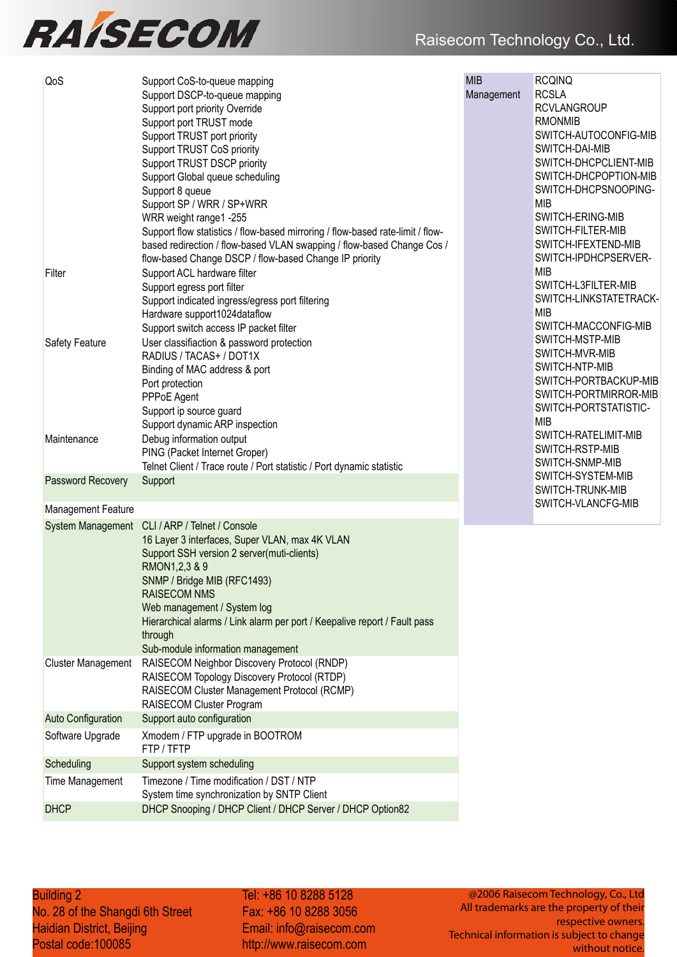## Raisecom Technology Co., Ltd.



| <b>MIB</b><br><b>RCQINQ</b><br>QoS<br>Support CoS-to-queue mapping<br><b>RCSLA</b><br>Management<br>Support DSCP-to-queue mapping<br><b>RCVLANGROUP</b><br>Support port priority Override<br><b>RMONMIB</b><br>Support port TRUST mode<br>SWITCH-AUTOCONFIG-MIB<br>Support TRUST port priority<br>SWITCH-DAI-MIB<br>Support TRUST CoS priority<br>SWITCH-DHCPCLIENT-MIB<br>Support TRUST DSCP priority<br>SWITCH-DHCPOPTION-MIB<br>Support Global queue scheduling<br>SWITCH-DHCPSNOOPING-<br>Support 8 queue<br><b>MIB</b><br>Support SP / WRR / SP+WRR<br>SWITCH-ERING-MIB<br>WRR weight range1 -255<br>SWITCH-FILTER-MIB<br>Support flow statistics / flow-based mirroring / flow-based rate-limit / flow-<br>SWITCH-IFEXTEND-MIB<br>based redirection / flow-based VLAN swapping / flow-based Change Cos /<br>SWITCH-IPDHCPSERVER-<br>flow-based Change DSCP / flow-based Change IP priority<br><b>MIB</b><br>Support ACL hardware filter<br>Filter<br>SWITCH-L3FILTER-MIB<br>Support egress port filter<br>Support indicated ingress/egress port filtering<br><b>MIB</b><br>Hardware support1024dataflow<br>SWITCH-MACCONFIG-MIB<br>Support switch access IP packet filter<br>SWITCH-MSTP-MIB<br>User classifiaction & password protection<br><b>Safety Feature</b><br>SWITCH-MVR-MIB<br>RADIUS / TACAS+ / DOT1X<br>SWITCH-NTP-MIB<br>Binding of MAC address & port<br>Port protection<br>PPPoE Agent<br>SWITCH-PORTSTATISTIC-<br>Support ip source guard<br><b>MIB</b><br>Support dynamic ARP inspection<br>SWITCH-RATELIMIT-MIB<br>Debug information output<br>Maintenance<br>SWITCH-RSTP-MIB<br>PING (Packet Internet Groper)<br>SWITCH-SNMP-MIB<br>Telnet Client / Trace route / Port statistic / Port dynamic statistic<br>SWITCH-SYSTEM-MIB<br>Password Recovery<br>Support<br>SWITCH-TRUNK-MIB<br>SWITCH-VLANCFG-MIB<br><b>Management Feature</b><br>CLI / ARP / Telnet / Console<br><b>System Management</b><br>16 Layer 3 interfaces, Super VLAN, max 4K VLAN<br>Support SSH version 2 server(muti-clients)<br>RMON1, 2, 3 & 9<br>SNMP / Bridge MIB (RFC1493)<br><b>RAISECOM NMS</b><br>Web management / System log<br>Hierarchical alarms / Link alarm per port / Keepalive report / Fault pass<br>through<br>Sub-module information management<br>RAISECOM Neighbor Discovery Protocol (RNDP)<br><b>Cluster Management</b><br>RAISECOM Topology Discovery Protocol (RTDP)<br>RAISECOM Cluster Management Protocol (RCMP)<br>RAISECOM Cluster Program<br>Support auto configuration<br><b>Auto Configuration</b><br>Software Upgrade<br>Xmodem / FTP upgrade in BOOTROM<br>FTP/TFTP<br>Scheduling<br>Support system scheduling<br>Timezone / Time modification / DST / NTP<br>Time Management<br>System time synchronization by SNTP Client<br><b>DHCP</b><br>DHCP Snooping / DHCP Client / DHCP Server / DHCP Option82 |  |                                                                          |
|----------------------------------------------------------------------------------------------------------------------------------------------------------------------------------------------------------------------------------------------------------------------------------------------------------------------------------------------------------------------------------------------------------------------------------------------------------------------------------------------------------------------------------------------------------------------------------------------------------------------------------------------------------------------------------------------------------------------------------------------------------------------------------------------------------------------------------------------------------------------------------------------------------------------------------------------------------------------------------------------------------------------------------------------------------------------------------------------------------------------------------------------------------------------------------------------------------------------------------------------------------------------------------------------------------------------------------------------------------------------------------------------------------------------------------------------------------------------------------------------------------------------------------------------------------------------------------------------------------------------------------------------------------------------------------------------------------------------------------------------------------------------------------------------------------------------------------------------------------------------------------------------------------------------------------------------------------------------------------------------------------------------------------------------------------------------------------------------------------------------------------------------------------------------------------------------------------------------------------------------------------------------------------------------------------------------------------------------------------------------------------------------------------------------------------------------------------------------------------------------------------------------------------------------------------------------------------------------------------------------------------------------------------------------------------------------------------------------------------------------------------------------------------------------------------------------------------------|--|--------------------------------------------------------------------------|
|                                                                                                                                                                                                                                                                                                                                                                                                                                                                                                                                                                                                                                                                                                                                                                                                                                                                                                                                                                                                                                                                                                                                                                                                                                                                                                                                                                                                                                                                                                                                                                                                                                                                                                                                                                                                                                                                                                                                                                                                                                                                                                                                                                                                                                                                                                                                                                                                                                                                                                                                                                                                                                                                                                                                                                                                                                        |  | SWITCH-LINKSTATETRACK-<br>SWITCH-PORTBACKUP-MIB<br>SWITCH-PORTMIRROR-MIB |
|                                                                                                                                                                                                                                                                                                                                                                                                                                                                                                                                                                                                                                                                                                                                                                                                                                                                                                                                                                                                                                                                                                                                                                                                                                                                                                                                                                                                                                                                                                                                                                                                                                                                                                                                                                                                                                                                                                                                                                                                                                                                                                                                                                                                                                                                                                                                                                                                                                                                                                                                                                                                                                                                                                                                                                                                                                        |  |                                                                          |
|                                                                                                                                                                                                                                                                                                                                                                                                                                                                                                                                                                                                                                                                                                                                                                                                                                                                                                                                                                                                                                                                                                                                                                                                                                                                                                                                                                                                                                                                                                                                                                                                                                                                                                                                                                                                                                                                                                                                                                                                                                                                                                                                                                                                                                                                                                                                                                                                                                                                                                                                                                                                                                                                                                                                                                                                                                        |  |                                                                          |
|                                                                                                                                                                                                                                                                                                                                                                                                                                                                                                                                                                                                                                                                                                                                                                                                                                                                                                                                                                                                                                                                                                                                                                                                                                                                                                                                                                                                                                                                                                                                                                                                                                                                                                                                                                                                                                                                                                                                                                                                                                                                                                                                                                                                                                                                                                                                                                                                                                                                                                                                                                                                                                                                                                                                                                                                                                        |  |                                                                          |
|                                                                                                                                                                                                                                                                                                                                                                                                                                                                                                                                                                                                                                                                                                                                                                                                                                                                                                                                                                                                                                                                                                                                                                                                                                                                                                                                                                                                                                                                                                                                                                                                                                                                                                                                                                                                                                                                                                                                                                                                                                                                                                                                                                                                                                                                                                                                                                                                                                                                                                                                                                                                                                                                                                                                                                                                                                        |  |                                                                          |
|                                                                                                                                                                                                                                                                                                                                                                                                                                                                                                                                                                                                                                                                                                                                                                                                                                                                                                                                                                                                                                                                                                                                                                                                                                                                                                                                                                                                                                                                                                                                                                                                                                                                                                                                                                                                                                                                                                                                                                                                                                                                                                                                                                                                                                                                                                                                                                                                                                                                                                                                                                                                                                                                                                                                                                                                                                        |  |                                                                          |
|                                                                                                                                                                                                                                                                                                                                                                                                                                                                                                                                                                                                                                                                                                                                                                                                                                                                                                                                                                                                                                                                                                                                                                                                                                                                                                                                                                                                                                                                                                                                                                                                                                                                                                                                                                                                                                                                                                                                                                                                                                                                                                                                                                                                                                                                                                                                                                                                                                                                                                                                                                                                                                                                                                                                                                                                                                        |  |                                                                          |
|                                                                                                                                                                                                                                                                                                                                                                                                                                                                                                                                                                                                                                                                                                                                                                                                                                                                                                                                                                                                                                                                                                                                                                                                                                                                                                                                                                                                                                                                                                                                                                                                                                                                                                                                                                                                                                                                                                                                                                                                                                                                                                                                                                                                                                                                                                                                                                                                                                                                                                                                                                                                                                                                                                                                                                                                                                        |  |                                                                          |
|                                                                                                                                                                                                                                                                                                                                                                                                                                                                                                                                                                                                                                                                                                                                                                                                                                                                                                                                                                                                                                                                                                                                                                                                                                                                                                                                                                                                                                                                                                                                                                                                                                                                                                                                                                                                                                                                                                                                                                                                                                                                                                                                                                                                                                                                                                                                                                                                                                                                                                                                                                                                                                                                                                                                                                                                                                        |  |                                                                          |
|                                                                                                                                                                                                                                                                                                                                                                                                                                                                                                                                                                                                                                                                                                                                                                                                                                                                                                                                                                                                                                                                                                                                                                                                                                                                                                                                                                                                                                                                                                                                                                                                                                                                                                                                                                                                                                                                                                                                                                                                                                                                                                                                                                                                                                                                                                                                                                                                                                                                                                                                                                                                                                                                                                                                                                                                                                        |  |                                                                          |

Tel: +86 10 8288 5128 Fax: +86 10 8288 3056 Fax: +86 10 8288 3056 Email: info@raisecom.com Email: info@raisecom.com http://www.raisecom.com http://www.raisecom.com

@2006 Raisecom Technology, Co., Ltd All trademarks are the property of their respective owners. Technical information is subject to change without notice.